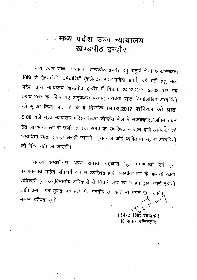## मध्य प्रदेश उच्च न्यायालय खण्डपीठ इन्दौर

मध्य प्रदेश उच्च न्यायालय, खण्डपीठ इन्दौर हेतु चतुर्थ श्रेणी आकरिमकता निधि से वे़तनभोगी कर्मचारियों (कलेक्टर रेट / संविदा प्रवर्ग) की भर्ती हेतु मध्य प्रदेश उच्च न्यायालय खण्डपीठ इन्दौर में दिनांक 24.02.2017, 25.02.2017 एवं 26.02.2017 को किए गए अनुवीक्षण पश्चात् वरीयता प्राप्त निम्नलिखित अभ्यर्थियों को सूचित किया जाता है कि वे **दिनांक 04.03.2017 शनिवार को प्रातः** 9:00 बजे उच्च न्यायालय परिसर रिथत कॉन्फ्रेंस हॉल में साक्षात्कार/अंतिम चयन हेतु आवंश्यक रूप से उपस्थित रहें। समय पर उपस्थित न रहने वाले आवेदकों की अभ्यर्थिता स्वतः समाप्त समझी जाएगी। पृथक से कोई व्यक्तिगत सूचना अभ्यर्थियों को प्रेषित नहीं की जाएगी।

अभ्यर्थीगण अपने समस्त अर्हकारी मूल प्रमाणपत्रों एवं मूल समस्त पहचान-पत्र सहित अनिवार्य रूप से उपस्थित होवें। आरक्षित वर्ग के अभ्यर्थी सक्षम प्राधिकारी (जो अनुविभागीय अधिकारी से निचले स्तर का न हो) द्वारा जारी स्थायी जाति प्रमाण-पत्र मूलतः एवं सत्यापित पठनीय छायाप्रति भी अपने साथ लावें। संलग्नः वरीयता सूची।

> (देवेन्द्र सिंह सोलंकी) प्रिंसिपल रजिस्ट्रार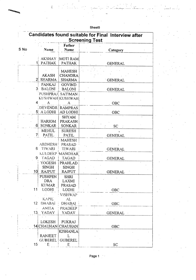Sheet<sub>5</sub>

 $\frac{1}{2}$ 

| <b>Candidates found suitable for Final Interview after</b><br><b>Screening Test</b> |                 |                |                        |                |  |  |  |
|-------------------------------------------------------------------------------------|-----------------|----------------|------------------------|----------------|--|--|--|
|                                                                                     |                 |                |                        |                |  |  |  |
| S No                                                                                |                 | Name           | Father<br><b>Name</b>  |                |  |  |  |
|                                                                                     |                 |                |                        | Category       |  |  |  |
|                                                                                     |                 | <b>AKSHAY</b>  | MOTI RAM               |                |  |  |  |
|                                                                                     | $\mathbf{1}$    | <b>PATHAK</b>  | <b>PATHAK</b>          |                |  |  |  |
|                                                                                     |                 |                |                        | <b>GENERAL</b> |  |  |  |
|                                                                                     |                 |                | <b>MAHESH</b>          |                |  |  |  |
|                                                                                     |                 | <b>AKASH</b>   | <b>CHANDRA</b>         |                |  |  |  |
|                                                                                     | 2 <sub>1</sub>  | <b>SHARMA</b>  | <b>SHARMA</b>          | <b>GENERAL</b> |  |  |  |
|                                                                                     |                 | PANKAJ         | <b>GOVIND</b>          |                |  |  |  |
|                                                                                     |                 | 3 BALONI       | <b>BALONI</b>          | <b>GENERAL</b> |  |  |  |
|                                                                                     |                 | PUSHPRAJ       | <b>SATIMAN</b>         |                |  |  |  |
|                                                                                     |                 |                | KUSHWAH KUSHWAH        |                |  |  |  |
|                                                                                     | 4.              | A              | A                      | OBC            |  |  |  |
|                                                                                     |                 |                | DEVENDR   RAMPRAS      |                |  |  |  |
|                                                                                     |                 | 5 A LODHI      | AD LODHI               | <b>OBC</b>     |  |  |  |
|                                                                                     |                 |                | <b>SHYAM</b>           |                |  |  |  |
|                                                                                     |                 | <b>HARIOM</b>  | PRAKASH                |                |  |  |  |
|                                                                                     | 6.              | <b>SONKAR</b>  | <b>SONKAR</b>          | <b>SC</b>      |  |  |  |
|                                                                                     |                 | <b>MEHUL</b>   | <b>SURESH</b>          |                |  |  |  |
|                                                                                     | 7i              | PATIL.         | PATIL                  | <b>GENERAL</b> |  |  |  |
|                                                                                     |                 |                | <b>MAHESH</b>          |                |  |  |  |
|                                                                                     |                 | <b>ABDHESH</b> | PRASAD                 |                |  |  |  |
|                                                                                     | 8.              | <b>TIWARI</b>  | TIWARI                 | <b>GENERAL</b> |  |  |  |
|                                                                                     |                 |                | <b>KULDEEP MANOHAR</b> |                |  |  |  |
|                                                                                     | 9               | <b>TAGAD</b>   | <b>TAGAD</b>           | <b>GENERAL</b> |  |  |  |
|                                                                                     |                 | YOGESH-        | <b>PRAHLAD</b>         |                |  |  |  |
|                                                                                     |                 | <b>SINGH</b>   | <b>SINGH</b>           |                |  |  |  |
|                                                                                     | 10              | <b>RAJPUT</b>  | <b>RAJPUT</b>          | <b>GENERAL</b> |  |  |  |
|                                                                                     |                 | <b>PUSHPEN</b> |                        |                |  |  |  |
|                                                                                     |                 | DRA            | <b>SHRI</b><br>LAXMI   |                |  |  |  |
|                                                                                     |                 | <b>KUMAR</b>   | PRASAD                 |                |  |  |  |
|                                                                                     | 11              | <b>LODHI</b>   | <b>LODHI</b>           | OBC            |  |  |  |
|                                                                                     |                 |                | VISHWAP                |                |  |  |  |
|                                                                                     |                 | <b>KAPIL</b>   | AL                     |                |  |  |  |
|                                                                                     | $12^{\circ}$    | <b>DHABAI</b>  | <b>DHABAI</b>          | OBC            |  |  |  |
|                                                                                     |                 | <b>ANITA</b>   | <b>PRADEEP</b>         |                |  |  |  |
|                                                                                     | 13 <sub>1</sub> | YADAV          | YADAV                  | <b>GENERAL</b> |  |  |  |
|                                                                                     |                 |                |                        |                |  |  |  |
|                                                                                     |                 | LOKESH         | PUKRAJ                 |                |  |  |  |
|                                                                                     |                 | 14 CHAUHAN     | <b>CHAUHAN</b>         | OBC            |  |  |  |
|                                                                                     |                 |                | KISHANLA               |                |  |  |  |
|                                                                                     |                 | RANJEET        | L                      |                |  |  |  |
|                                                                                     |                 | GUBEREL        | <b>GUBEREL</b>         |                |  |  |  |
|                                                                                     | 15 <sub>1</sub> | E              | E                      | SC             |  |  |  |
|                                                                                     |                 |                |                        |                |  |  |  |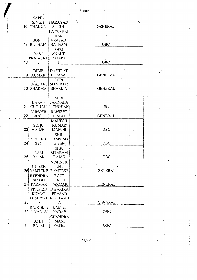|                 |                   |                        | Sheet <sub>5</sub> |
|-----------------|-------------------|------------------------|--------------------|
|                 | <b>KAPIL</b>      |                        |                    |
|                 | <b>SINGH</b>      | <b>NARAYAN</b>         |                    |
| 16              | <b>THAKUR</b>     | <b>SINGH</b>           | <b>GENERAL</b>     |
|                 |                   | <b>LATE SHRI</b>       |                    |
|                 |                   | <b>HAR</b>             |                    |
|                 | SONU              | <b>PRASAD</b>          |                    |
|                 | 17 BATHAM         | <b>BATHAM</b>          | OBC                |
|                 |                   | <b>SHRI</b>            |                    |
|                 | <b>RAVI</b>       | <b>ANAND</b>           |                    |
|                 | PRAJAPAT PRAJAPAT |                        |                    |
| 18 <sub>i</sub> | $\mathbf{I}$      | Ι                      | OBC                |
|                 |                   |                        |                    |
|                 | DILIP             | <b>DASHRAT</b>         |                    |
| 19 <sup>1</sup> | <b>KUMAR</b>      | <b>H PRASAD</b>        | <b>GENERAL</b>     |
|                 |                   | <b>SHRI</b>            |                    |
|                 |                   | UMAKANT MANIRAM        |                    |
|                 | 20 SHARMA         | <b>SHARMA</b>          | <b>GENERAL</b>     |
|                 |                   |                        |                    |
|                 |                   | <b>SHRI</b>            |                    |
|                 | <b>KARAN</b>      | : JAMNALA              |                    |
| 21              |                   | <b>CHOHAN L CHOHAN</b> | <b>SC</b>          |
|                 | <b>DUNGER</b>     | <b>RANJEET</b>         |                    |
| 22i             | <b>SINGH</b>      | <b>SINGH</b>           | <b>GENERAL</b>     |
|                 |                   | <b>MAHESH</b>          |                    |
|                 | <b>SONU</b>       | <b>KUMAR</b>           |                    |
| 23 <sup>°</sup> | <b>MANJHI</b>     | <b>MANJHI</b>          | OBC                |
|                 |                   | <b>SHRI</b>            |                    |
|                 | <b>SURESH</b>     | <b>RAMSING</b>         |                    |
| 24 <sup>2</sup> | <b>SEN</b>        | H SEN                  | OBC                |
|                 |                   | <b>SHRI</b>            |                    |
|                 | <b>RAM</b>        | <b>SITARAM</b>         |                    |
| 25              | <b>RAJAK</b>      | <b>RAJAK</b>           | OBC                |
|                 |                   | <b>VISHNUK</b>         |                    |
|                 | <b>NITESH</b>     | <b>ANT</b>             |                    |
|                 | 26 RAMTEKE        | <b>RAMTEKE</b>         | <b>GENERAL</b>     |
|                 | <b>JITENDRA</b>   | <b>ROOP</b>            |                    |
|                 | <b>SINGH</b>      | <b>SINGH</b>           |                    |
|                 | 27 PARMAR         | PARMAR                 | GENERAL            |
|                 | <b>PRAMOD</b>     | DWARIKA                |                    |
|                 | KUMAR             | <b>PRASAD</b>          |                    |
|                 |                   | KUSHWAH KUSHWAH        |                    |
| 28              | А                 | A                      | <b>GENERAL</b>     |
|                 | <b>RAJKUMA</b>    | <b>KAMAL</b>           |                    |
|                 | 29 R YADAV        | YADAV                  | <b>OBC</b>         |
|                 |                   | <b>CHANDRA</b>         |                    |
|                 | AMIT              | MANI                   |                    |
| 30 <sup>1</sup> | PATEL             | <b>PATEL</b>           | $-$ OBC            |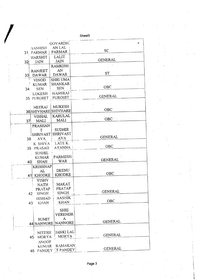|                 |                    |                       | Sheet5         |
|-----------------|--------------------|-----------------------|----------------|
|                 |                    | <b>GOVARDH:</b>       | ÷              |
|                 | AASHISH            | AN LAL                | <b>SC</b>      |
|                 | 31 PARMAR          | <b>PARMAR</b>         |                |
|                 | HARSHIT            | <b>LALIT</b>          | <b>GENERAL</b> |
| 32              | JAIN               | JAIN                  |                |
|                 |                    | <b>RAMKISH</b>        |                |
|                 | <b>RANJEET</b>     | AN                    | <b>ST</b>      |
| .33             | DAWAR              | <b>DAWAR</b>          |                |
|                 | <b>VINOD</b>       | <b>SHRI UMA</b>       |                |
|                 | <b>KUMAR</b>       | <b>SHANKAR</b>        | <b>OBC</b>     |
| $34^\circ$      | <b>SEN</b>         | <b>SEN</b>            |                |
|                 | <b>LOKESH</b>      | : HANSRAJ             |                |
|                 | 35 PUROHIT         | PUROHIT               | <b>GENERAL</b> |
|                 |                    |                       |                |
|                 | NEERAJ             | <b>MUKESH</b>         | OBC            |
|                 | 36 SHIVHARE        | <b>SHIVHARE</b>       |                |
|                 | <b>VISHAL</b>      | <b>KARULAL</b>        | OBC            |
| 37 <sup>1</sup> | <b>MALI</b>        | MALI                  |                |
|                 | PRASHAN            |                       |                |
|                 | T                  | <b>SUDHIR</b>         |                |
|                 | <b>SHRIVAST</b>    | <b>SHRIVAST</b>       | <b>GENERAL</b> |
| 38 <sub>1</sub> | AVA                | <b>AVA</b>            |                |
|                 | K. SHIVA           | LATE K.               | OBC            |
| 39              | <b>PRASAD</b>      | AYANNA.               |                |
|                 | <b>SUSHIL</b>      |                       |                |
|                 | <b>KUMAR</b>       | PARMESH<br><b>WAR</b> | GENERAL        |
| 40              | <b>SHAH</b>        |                       |                |
|                 | <b>KRISHNAP</b>    | <b>DEENU</b>          |                |
|                 | AL                 | <b>KHODKE</b>         | OBC            |
|                 | 41 KHODKE          |                       |                |
|                 | VISHV              |                       |                |
|                 | <b>NATH</b>        | MAKAT<br>PRATAP       |                |
|                 | PRATAP             | <b>SINGH</b>          | <b>GENERAL</b> |
| 42              | <b>SINGH</b>       | <b>AASHIK</b>         |                |
|                 | <b>IRSHAD</b>      | <b>KHAN</b>           | OBC            |
| 43              | KHAN               |                       |                |
|                 |                    | <b>SHRI</b>           |                |
|                 |                    | VERENDR               |                |
|                 | <b>SUMIT</b>       | A                     |                |
|                 | 44 NANNORE         | <b>NANNORE</b>        | <b>GENERAL</b> |
|                 |                    |                       |                |
|                 | NITESH             | <b>JANKI LAL</b>      | <b>GENERAL</b> |
|                 | <b>MORYA</b><br>45 | <b>MORYA</b>          |                |
|                 | <b>ANOOP</b>       |                       |                |
|                 | <b>KUMAR</b>       | RAMAKAN:              |                |
|                 | 46                 | PANDEY T PANDEY       | <b>GENERAL</b> |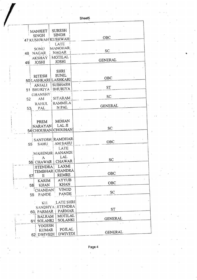|            |                             | <b>SURESH</b>        |                |
|------------|-----------------------------|----------------------|----------------|
|            | MANJEET<br><b>SINGH</b>     | <b>SINGH</b>         |                |
|            | 47 KUSHWAH KUSHWAH          |                      | <b>OBC</b>     |
|            |                             | LATE                 |                |
|            | SONU                        | MANOHAR:             |                |
| 48         | <b>NAGAR</b>                | NAGAR                | <b>SC</b>      |
|            | <b>AKSHAY</b>               | <b>MOTILAL</b>       |                |
| 49,        | <b>JOSHI</b>                | <b>JOSHI</b>         | <b>GENERAL</b> |
|            |                             |                      |                |
|            |                             | <b>SHRI</b>          |                |
|            | <b>RITESH</b>               | <b>SUNIL</b>         |                |
|            |                             | 50 LASHKARI LASHKARI | OBC            |
|            | <b>ANJALI</b>               | <b>SUBHASH</b>       |                |
|            | 51 BHURIYA   BHURIYA        |                      | <b>ST</b>      |
|            | <b>GHANSHY</b>              |                      |                |
| 52         | AM                          | <b>SITARAM</b>       | SC             |
|            | <b>RAHUL</b>                | <b>RAMMILA</b>       | <b>GENERAL</b> |
| 53i        | PAL                         | N PAL                |                |
|            |                             |                      |                |
|            |                             |                      |                |
|            | PREM                        | <b>MOHAN</b>         |                |
|            | NARAYAN                     | LAL JI               | SC             |
|            |                             | 54 CHOUHAN CHOUHAN   |                |
|            |                             |                      |                |
|            |                             | SANTOSH RAMDHAR      | OBC            |
| $55^\circ$ | <b>SAHU</b>                 | AM SAHU              |                |
|            |                             | LATE                 |                |
|            |                             | MAHENDRI AANANDI     |                |
|            | A                           | LAL                  | SC             |
|            | 56 CHAWAR                   | <b>CHAWAR</b>        |                |
|            | <b>JITENDRA</b>             | LAXMI                |                |
|            | <b>TEMBHAR</b>              | <b>CHANDRA</b>       | OBC            |
|            | E<br>57                     | <b>REMRE</b>         |                |
|            | <b>KARIM</b>                | <b>AYYUB</b>         | OBC            |
|            | <b>KHAN</b><br>58           | <b>KHAN</b>          |                |
|            | <b>CHANDAN</b>              | VINOD                | <b>SC</b>      |
|            | <b>PANDE</b><br>59.         | PANDE                |                |
|            |                             | <b>LATE SHRI</b>     |                |
|            | KU.                         | SANDHYA HTENDRA      |                |
|            | 60 PARMAR                   | PARMAR               | <b>ST</b>      |
|            |                             | <b>MOTILAL</b>       |                |
|            | <b>BALRAM</b><br>61 SOLANKI | <b>SOLANKI</b>       | <b>GENERAL</b> |
|            | YOGESH                      |                      |                |
|            | <b>KUMAR</b>                | POJLAL               |                |
|            | 62 DWIVEDI                  | <b>DWIVEDI</b>       | <b>GENERAL</b> |
|            |                             |                      |                |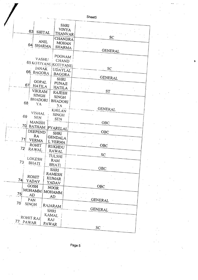|                 |                             |                |                                      |  | oneeto         |  |
|-----------------|-----------------------------|----------------|--------------------------------------|--|----------------|--|
|                 |                             |                | <b>SHRI</b>                          |  |                |  |
|                 |                             |                | <b>VINYA</b>                         |  |                |  |
|                 | 63                          | <b>SHITAL</b>  | THANVAR                              |  |                |  |
|                 |                             |                | <b>CHANDRA</b>                       |  | <b>SC</b>      |  |
|                 | 64                          | ANIL           | <b>MOHAN</b>                         |  |                |  |
|                 |                             | SHARMA         | <b>SHARMA</b>                        |  |                |  |
|                 |                             |                |                                      |  | <b>GENERAL</b> |  |
|                 |                             | VASHU          | POONAM                               |  |                |  |
|                 |                             |                | <b>CHAND</b><br>65 KOTIYANE KOTIYANE |  |                |  |
|                 |                             | JANAK          |                                      |  | SC             |  |
|                 | 66; BAGORA                  |                | <b>UDAYLAL</b>                       |  |                |  |
|                 |                             |                | <b>BAGORA</b>                        |  | <b>GENERAL</b> |  |
|                 |                             | <b>GOPAL</b>   | <b>SHRI</b><br><b>PUNAJI</b>         |  |                |  |
|                 | 67                          | <b>HATILA</b>  | <b>HATILA</b>                        |  |                |  |
|                 |                             | <b>VIKRAM</b>  | <b>RAJESH</b>                        |  | ST             |  |
|                 |                             | SINGH          | <b>SINGH</b>                         |  |                |  |
|                 |                             | <b>BHADORI</b> | <b>BHADORI</b>                       |  |                |  |
|                 | 68.                         | YA.            | YA                                   |  |                |  |
|                 |                             |                | <b>KHILAN</b>                        |  | <b>GENERAL</b> |  |
| 69              | <b>VISHAL</b><br><b>SEN</b> |                | <b>SINGH</b>                         |  |                |  |
|                 |                             |                | <b>SEN</b>                           |  |                |  |
|                 | MANISH<br>70 BATHAM         |                |                                      |  | OBC            |  |
|                 | DEEPEND                     |                | PYARELAL                             |  | OBC            |  |
|                 | RA                          |                | <b>SHRI</b>                          |  |                |  |
| 71              | <b>VERMA</b>                |                | <b>GENDALA</b>                       |  |                |  |
|                 | ROHIT                       |                | L VERMA<br><b>RUKHDU</b>             |  | <b>OBC</b>     |  |
| 72 <sup>°</sup> | <b>RAWAL</b>                |                | RAWAL                                |  |                |  |
|                 |                             |                | TULSHI                               |  | SC             |  |
|                 | LOKESH                      |                | <b>RAM</b>                           |  |                |  |
| 73 <sub>1</sub> | BHATI                       |                | BHATI                                |  |                |  |
|                 |                             |                | <b>SHRI</b>                          |  | OBC            |  |
|                 |                             |                | RAMESH                               |  |                |  |
| 74              | ROHIT                       |                | <b>KUMAR</b>                         |  |                |  |
|                 | YADAV                       |                | <b>YADAV</b>                         |  |                |  |
|                 | <b>GOSH</b><br>MOHAMM       |                | <b>NOOR</b>                          |  | OBC            |  |
| 75              | AD                          |                | MOHAMM                               |  |                |  |
|                 | PAN                         |                | AD                                   |  | <b>GENERAL</b> |  |
| 76.             | SINGH                       |                |                                      |  |                |  |
|                 |                             |                | RAJARAM                              |  | <b>GENERAL</b> |  |
|                 |                             |                | <b>SHRI</b>                          |  |                |  |
|                 | ROHIT RAJ                   |                | <b>KAMAL</b><br>RAJ                  |  |                |  |
|                 | 77 PAWAR                    | PAWAR          |                                      |  |                |  |
|                 |                             |                |                                      |  |                |  |

Ō.

 $SC$